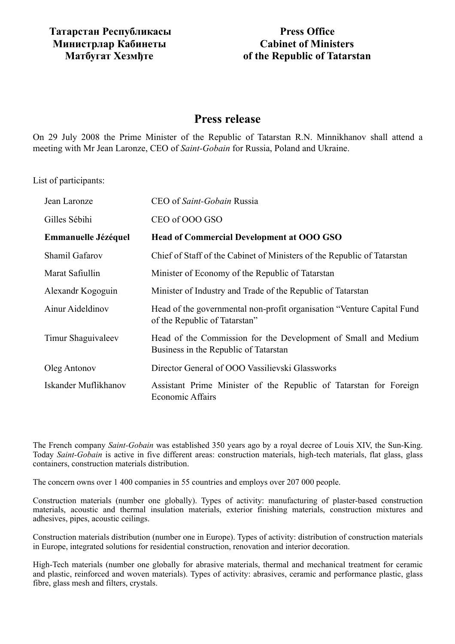## **Press Office Cabinet of Ministers of the Republic of Tatarstan**

## **Press release**

On 29 July 2008 the Prime Minister of the Republic of Tatarstan R.N. Minnikhanov shall attend a meeting with Mr Jean Laronze, CEO of *Saint-Gobain* for Russia, Poland and Ukraine.

List of participants:

| Jean Laronze          | CEO of Saint-Gobain Russia                                                                               |
|-----------------------|----------------------------------------------------------------------------------------------------------|
| Gilles Sébihi         | CEO of OOO GSO                                                                                           |
| Emmanuelle Jézéquel   | Head of Commercial Development at OOO GSO                                                                |
| <b>Shamil Gafarov</b> | Chief of Staff of the Cabinet of Ministers of the Republic of Tatarstan                                  |
| Marat Safiullin       | Minister of Economy of the Republic of Tatarstan                                                         |
| Alexandr Kogoguin     | Minister of Industry and Trade of the Republic of Tatarstan                                              |
| Ainur Aideldinov      | Head of the governmental non-profit organisation "Venture Capital Fund"<br>of the Republic of Tatarstan" |
| Timur Shaguivaleev    | Head of the Commission for the Development of Small and Medium<br>Business in the Republic of Tatarstan  |
| Oleg Antonov          | Director General of OOO Vassilievski Glassworks                                                          |
| Iskander Muflikhanov  | Assistant Prime Minister of the Republic of Tatarstan for Foreign<br><b>Economic Affairs</b>             |

The French company *Saint-Gobain* was established 350 years ago by a royal decree of Louis XIV, the Sun-King. Today *Saint-Gobain* is active in five different areas: construction materials, high-tech materials, flat glass, glass containers, construction materials distribution.

The concern owns over 1 400 companies in 55 countries and employs over 207 000 people.

Construction materials (number one globally). Types of activity: manufacturing of plaster-based construction materials, acoustic and thermal insulation materials, exterior finishing materials, construction mixtures and adhesives, pipes, acoustic ceilings.

Construction materials distribution (number one in Europe). Types of activity: distribution of construction materials in Europe, integrated solutions for residential construction, renovation and interior decoration.

High-Tech materials (number one globally for abrasive materials, thermal and mechanical treatment for ceramic and plastic, reinforced and woven materials). Types of activity: abrasives, ceramic and performance plastic, glass fibre, glass mesh and filters, crystals.